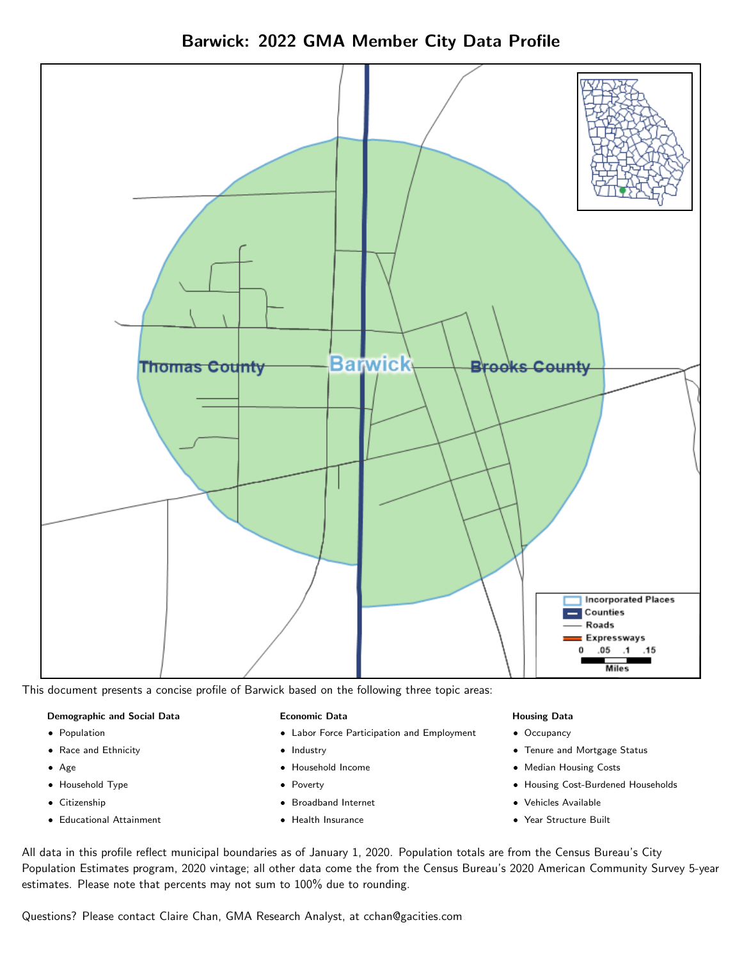Barwick: 2022 GMA Member City Data Profile



This document presents a concise profile of Barwick based on the following three topic areas:

#### Demographic and Social Data

- **•** Population
- Race and Ethnicity
- Age
- Household Type
- **Citizenship**
- Educational Attainment

#### Economic Data

- Labor Force Participation and Employment
- Industry
- Household Income
- Poverty
- Broadband Internet
- Health Insurance

#### Housing Data

- Occupancy
- Tenure and Mortgage Status
- Median Housing Costs
- Housing Cost-Burdened Households
- Vehicles Available
- Year Structure Built

All data in this profile reflect municipal boundaries as of January 1, 2020. Population totals are from the Census Bureau's City Population Estimates program, 2020 vintage; all other data come the from the Census Bureau's 2020 American Community Survey 5-year estimates. Please note that percents may not sum to 100% due to rounding.

Questions? Please contact Claire Chan, GMA Research Analyst, at [cchan@gacities.com.](mailto:cchan@gacities.com)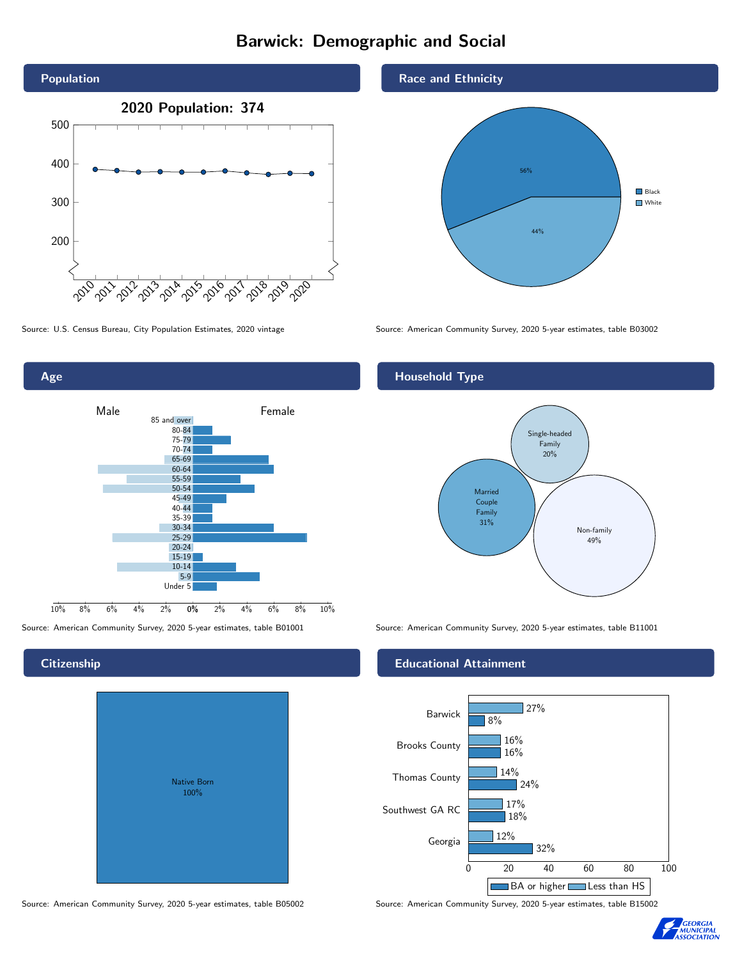## Barwick: Demographic and Social





### **Citizenship**

| <b>Native Born</b><br>100% |  |
|----------------------------|--|
|                            |  |

Race and Ethnicity



Source: U.S. Census Bureau, City Population Estimates, 2020 vintage Source: American Community Survey, 2020 5-year estimates, table B03002

## Household Type



Source: American Community Survey, 2020 5-year estimates, table B01001 Source: American Community Survey, 2020 5-year estimates, table B11001

#### Educational Attainment



Source: American Community Survey, 2020 5-year estimates, table B05002 Source: American Community Survey, 2020 5-year estimates, table B15002

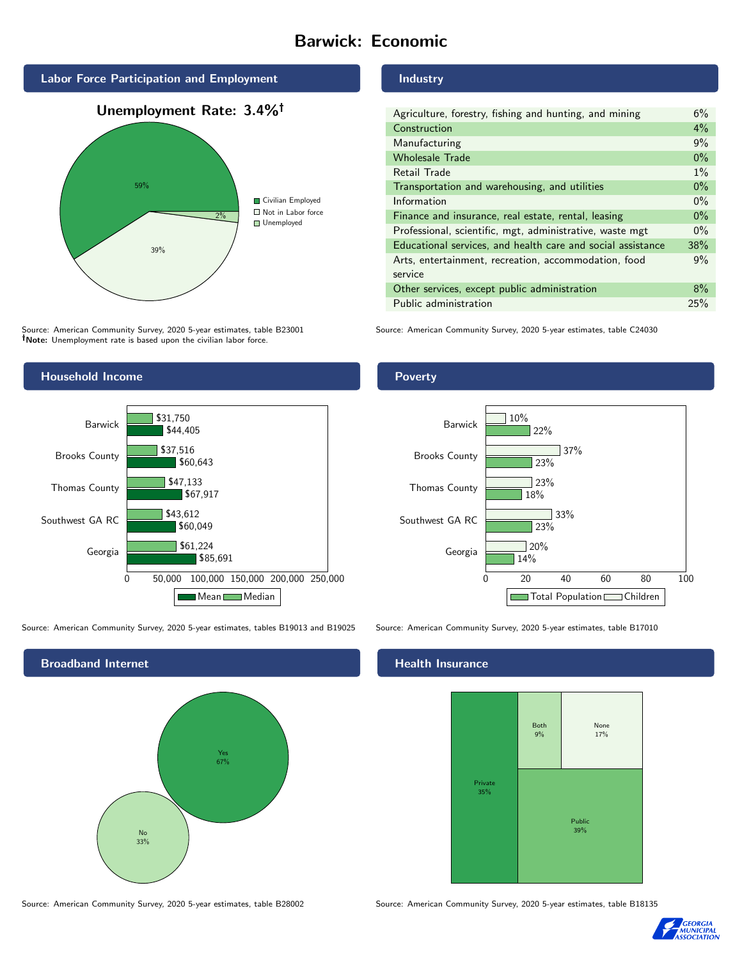## Barwick: Economic



Source: American Community Survey, 2020 5-year estimates, table B23001 Note: Unemployment rate is based upon the civilian labor force.

## Industry

| Agriculture, forestry, fishing and hunting, and mining      | 6%    |
|-------------------------------------------------------------|-------|
| Construction                                                |       |
| Manufacturing                                               | 9%    |
| <b>Wholesale Trade</b>                                      | $0\%$ |
| Retail Trade                                                | $1\%$ |
| Transportation and warehousing, and utilities               |       |
| Information                                                 | $0\%$ |
| Finance and insurance, real estate, rental, leasing         |       |
| Professional, scientific, mgt, administrative, waste mgt    |       |
| Educational services, and health care and social assistance | 38%   |
| Arts, entertainment, recreation, accommodation, food        |       |
| service                                                     |       |
| Other services, except public administration                |       |
| Public administration                                       |       |

Source: American Community Survey, 2020 5-year estimates, table C24030



Source: American Community Survey, 2020 5-year estimates, tables B19013 and B19025 Source: American Community Survey, 2020 5-year estimates, table B17010



Poverty



### Health Insurance



Source: American Community Survey, 2020 5-year estimates, table B28002 Source: American Community Survey, 2020 5-year estimates, table B18135